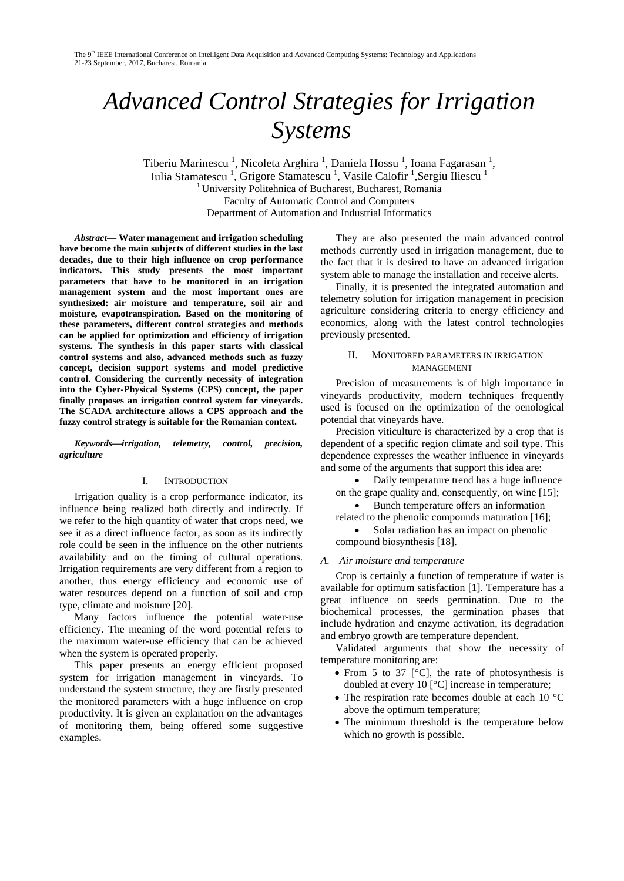# *Advanced Control Strategies for Irrigation Systems*

Tiberiu Marinescu<sup>1</sup>, Nicoleta Arghira<sup>1</sup>, Daniela Hossu<sup>1</sup>, Ioana Fagarasan<sup>1</sup>, Iulia Stamatescu<sup>1</sup>, Grigore Stamatescu<sup>1</sup>, Vasile Calofir<sup>1</sup>, Sergiu Iliescu<sup>1</sup> <sup>1</sup> University Politehnica of Bucharest, Bucharest, Romania Faculty of Automatic Control and Computers Department of Automation and Industrial Informatics

*Abstract***— Water management and irrigation scheduling have become the main subjects of different studies in the last decades, due to their high influence on crop performance indicators. This study presents the most important parameters that have to be monitored in an irrigation management system and the most important ones are synthesized: air moisture and temperature, soil air and moisture, evapotranspiration. Based on the monitoring of these parameters, different control strategies and methods can be applied for optimization and efficiency of irrigation systems. The synthesis in this paper starts with classical control systems and also, advanced methods such as fuzzy concept, decision support systems and model predictive control. Considering the currently necessity of integration into the Cyber-Physical Systems (CPS) concept, the paper finally proposes an irrigation control system for vineyards. The SCADA architecture allows a CPS approach and the fuzzy control strategy is suitable for the Romanian context.** 

*Keywords—irrigation, telemetry, control, precision, agriculture*

#### I. INTRODUCTION

Irrigation quality is a crop performance indicator, its influence being realized both directly and indirectly. If we refer to the high quantity of water that crops need, we see it as a direct influence factor, as soon as its indirectly role could be seen in the influence on the other nutrients availability and on the timing of cultural operations. Irrigation requirements are very different from a region to another, thus energy efficiency and economic use of water resources depend on a function of soil and crop type, climate and moisture [20].

Many factors influence the potential water-use efficiency. The meaning of the word potential refers to the maximum water-use efficiency that can be achieved when the system is operated properly.

This paper presents an energy efficient proposed system for irrigation management in vineyards. To understand the system structure, they are firstly presented the monitored parameters with a huge influence on crop productivity. It is given an explanation on the advantages of monitoring them, being offered some suggestive examples.

They are also presented the main advanced control methods currently used in irrigation management, due to the fact that it is desired to have an advanced irrigation system able to manage the installation and receive alerts.

Finally, it is presented the integrated automation and telemetry solution for irrigation management in precision agriculture considering criteria to energy efficiency and economics, along with the latest control technologies previously presented.

#### II. MONITORED PARAMETERS IN IRRIGATION **MANAGEMENT**

Precision of measurements is of high importance in vineyards productivity, modern techniques frequently used is focused on the optimization of the oenological potential that vineyards have.

Precision viticulture is characterized by a crop that is dependent of a specific region climate and soil type. This dependence expresses the weather influence in vineyards and some of the arguments that support this idea are:

• Daily temperature trend has a huge influence

on the grape quality and, consequently, on wine [15]; • Bunch temperature offers an information

related to the phenolic compounds maturation [16];

• Solar radiation has an impact on phenolic compound biosynthesis [18].

## *A. Air moisture and temperature*

Crop is certainly a function of temperature if water is available for optimum satisfaction [1]. Temperature has a great influence on seeds germination. Due to the biochemical processes, the germination phases that include hydration and enzyme activation, its degradation and embryo growth are temperature dependent.

Validated arguments that show the necessity of temperature monitoring are:

- From 5 to 37  $\degree$ C, the rate of photosynthesis is doubled at every 10 [°C] increase in temperature;
- The respiration rate becomes double at each 10 °C above the optimum temperature;
- The minimum threshold is the temperature below which no growth is possible.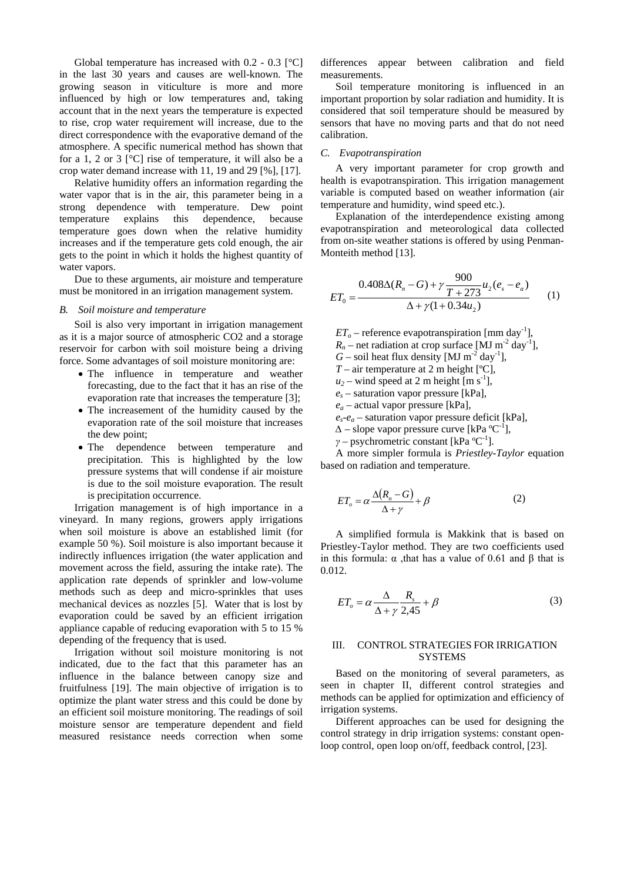Global temperature has increased with  $0.2 - 0.3$  [°C] in the last 30 years and causes are well-known. The growing season in viticulture is more and more influenced by high or low temperatures and, taking account that in the next years the temperature is expected to rise, crop water requirement will increase, due to the direct correspondence with the evaporative demand of the atmosphere. A specific numerical method has shown that for a 1, 2 or 3 [°C] rise of temperature, it will also be a crop water demand increase with 11, 19 and 29 [%], [17].

Relative humidity offers an information regarding the water vapor that is in the air, this parameter being in a strong dependence with temperature. Dew point temperature explains this dependence, because temperature goes down when the relative humidity increases and if the temperature gets cold enough, the air gets to the point in which it holds the highest quantity of water vapors.

Due to these arguments, air moisture and temperature must be monitored in an irrigation management system.

#### *B. Soil moisture and temperature*

Soil is also very important in irrigation management as it is a major source of atmospheric CO2 and a storage reservoir for carbon with soil moisture being a driving force. Some advantages of soil moisture monitoring are:

- The influence in temperature and weather forecasting, due to the fact that it has an rise of the evaporation rate that increases the temperature [3];
- The increasement of the humidity caused by the evaporation rate of the soil moisture that increases the dew point;
- The dependence between temperature and precipitation. This is highlighted by the low pressure systems that will condense if air moisture is due to the soil moisture evaporation. The result is precipitation occurrence.

Irrigation management is of high importance in a vineyard. In many regions, growers apply irrigations when soil moisture is above an established limit (for example 50 %). Soil moisture is also important because it indirectly influences irrigation (the water application and movement across the field, assuring the intake rate). The application rate depends of sprinkler and low-volume methods such as deep and micro-sprinkles that uses mechanical devices as nozzles [5]. Water that is lost by evaporation could be saved by an efficient irrigation appliance capable of reducing evaporation with 5 to 15 % depending of the frequency that is used.

Irrigation without soil moisture monitoring is not indicated, due to the fact that this parameter has an influence in the balance between canopy size and fruitfulness [19]. The main objective of irrigation is to optimize the plant water stress and this could be done by an efficient soil moisture monitoring. The readings of soil moisture sensor are temperature dependent and field measured resistance needs correction when some

differences appear between calibration and field measurements.

Soil temperature monitoring is influenced in an important proportion by solar radiation and humidity. It is considered that soil temperature should be measured by sensors that have no moving parts and that do not need calibration.

## *C. Evapotranspiration*

A very important parameter for crop growth and health is evapotranspiration. This irrigation management variable is computed based on weather information (air temperature and humidity, wind speed etc.).

Explanation of the interdependence existing among evapotranspiration and meteorological data collected from on-site weather stations is offered by using Penman-Monteith method [13].

$$
ET_0 = \frac{0.408\Delta(R_n - G) + \gamma \frac{900}{T + 273}u_2(e_s - e_a)}{\Delta + \gamma(1 + 0.34u_2)} \tag{1}
$$

 $ET_o$  – reference evapotranspiration [mm day<sup>-1</sup>],  $R_n$  – net radiation at crop surface [MJ m<sup>-2</sup> day<sup>-1</sup>],  $G$  – soil heat flux density [MJ m<sup>-2</sup> day<sup>-1</sup>],  $T$  – air temperature at 2 m height [ $°C$ ],  $u_2$  – wind speed at 2 m height [m s<sup>-1</sup>],  $e_s$  – saturation vapor pressure [kPa], *ea* – actual vapor pressure [kPa],  $e_s - e_a$  – saturation vapor pressure deficit [kPa], *∆* – slope vapor pressure curve [kPa ºC-1 ], *γ* – psychrometric constant [kPa °C<sup>-1</sup>].

A more simpler formula is *Priestley-Taylor* equation based on radiation and temperature.

$$
ET_o = \alpha \frac{\Delta (R_n - G)}{\Delta + \gamma} + \beta \tag{2}
$$

A simplified formula is Makkink that is based on Priestley-Taylor method. They are two coefficients used in this formula:  $\alpha$ , that has a value of 0.61 and β that is 0.012.

$$
ET_o = \alpha \frac{\Delta}{\Delta + \gamma} \frac{R_s}{2.45} + \beta \tag{3}
$$

#### III. CONTROL STRATEGIES FOR IRRIGATION SYSTEMS

Based on the monitoring of several parameters, as seen in chapter II, different control strategies and methods can be applied for optimization and efficiency of irrigation systems.

Different approaches can be used for designing the control strategy in drip irrigation systems: constant openloop control, open loop on/off, feedback control, [23].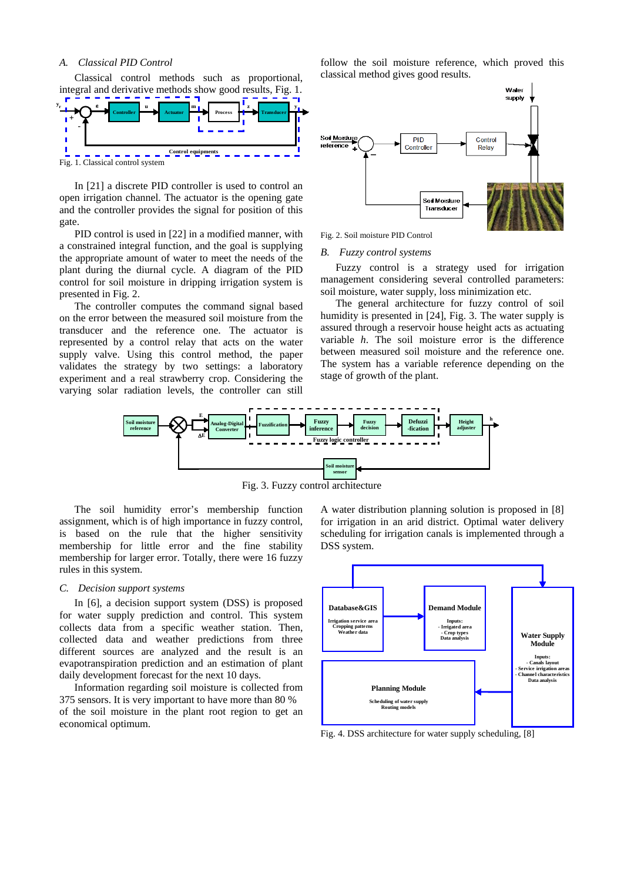## *A. Classical PID Control*

Classical control methods such as proportional, integral and derivative methods show good results, Fig. 1.



In [21] a discrete PID controller is used to control an open irrigation channel. The actuator is the opening gate and the controller provides the signal for position of this gate.

PID control is used in [22] in a modified manner, with a constrained integral function, and the goal is supplying the appropriate amount of water to meet the needs of the plant during the diurnal cycle. A diagram of the PID control for soil moisture in dripping irrigation system is presented in Fig. 2.

The controller computes the command signal based on the error between the measured soil moisture from the transducer and the reference one. The actuator is represented by a control relay that acts on the water supply valve. Using this control method, the paper validates the strategy by two settings: a laboratory experiment and a real strawberry crop. Considering the varying solar radiation levels, the controller can still follow the soil moisture reference, which proved this classical method gives good results.



Fig. 2. Soil moisture PID Control

#### *B. Fuzzy control systems*

Fuzzy control is a strategy used for irrigation management considering several controlled parameters: soil moisture, water supply, loss minimization etc.

The general architecture for fuzzy control of soil humidity is presented in [24], Fig. 3. The water supply is assured through a reservoir house height acts as actuating variable *h*. The soil moisture error is the difference between measured soil moisture and the reference one. The system has a variable reference depending on the stage of growth of the plant.



Fig. 3. Fuzzy control architecture

The soil humidity error's membership function assignment, which is of high importance in fuzzy control, is based on the rule that the higher sensitivity membership for little error and the fine stability membership for larger error. Totally, there were 16 fuzzy rules in this system.

## *C. Decision support systems*

In [6], a decision support system (DSS) is proposed for water supply prediction and control. This system collects data from a specific weather station. Then, collected data and weather predictions from three different sources are analyzed and the result is an evapotranspiration prediction and an estimation of plant daily development forecast for the next 10 days.

Information regarding soil moisture is collected from 375 sensors. It is very important to have more than 80 % of the soil moisture in the plant root region to get an economical optimum.

A water distribution planning solution is proposed in [8] for irrigation in an arid district. Optimal water delivery scheduling for irrigation canals is implemented through a DSS system.



Fig. 4. DSS architecture for water supply scheduling, [8]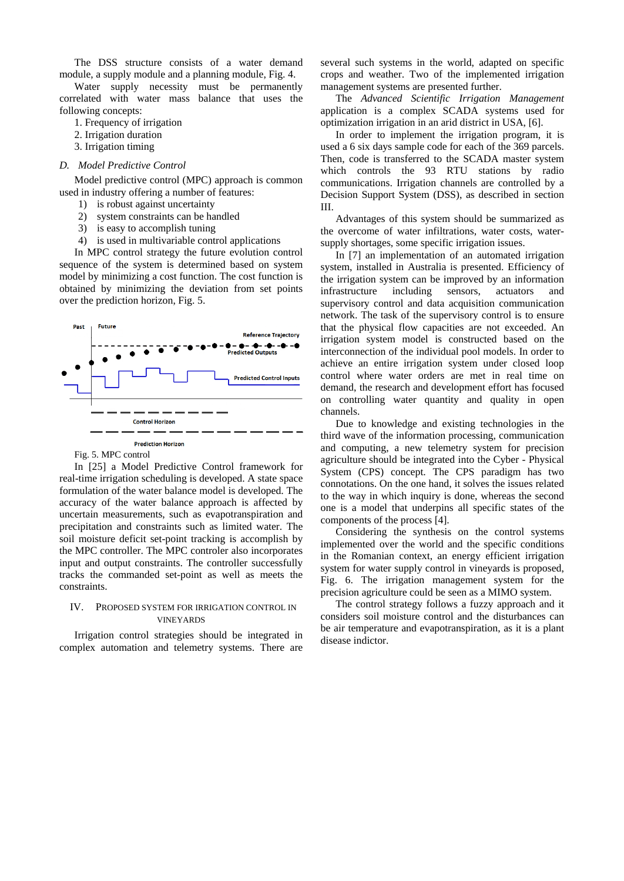The DSS structure consists of a water demand module, a supply module and a planning module, Fig. 4.

Water supply necessity must be permanently correlated with water mass balance that uses the following concepts:

- 1. Frequency of irrigation
- 2. Irrigation duration
- 3. Irrigation timing

### *D. Model Predictive Control*

Model predictive control (MPC) approach is common used in industry offering a number of features:

- 1) is robust against uncertainty
- 2) system constraints can be handled
- 3) is easy to accomplish tuning
- 4) is used in multivariable control applications

In MPC control strategy the future evolution control sequence of the system is determined based on system model by minimizing a cost function. The cost function is obtained by minimizing the deviation from set points over the prediction horizon, Fig. 5.



## Fig. 5. MPC control

In [25] a Model Predictive Control framework for real-time irrigation scheduling is developed. A state space formulation of the water balance model is developed. The accuracy of the water balance approach is affected by uncertain measurements, such as evapotranspiration and precipitation and constraints such as limited water. The soil moisture deficit set-point tracking is accomplish by the MPC controller. The MPC controler also incorporates input and output constraints. The controller successfully tracks the commanded set-point as well as meets the constraints.

#### IV. PROPOSED SYSTEM FOR IRRIGATION CONTROL IN VINEYARDS

Irrigation control strategies should be integrated in complex automation and telemetry systems. There are several such systems in the world, adapted on specific crops and weather. Two of the implemented irrigation management systems are presented further.

The *Advanced Scientific Irrigation Management* application is a complex SCADA systems used for optimization irrigation in an arid district in USA, [6].

In order to implement the irrigation program, it is used a 6 six days sample code for each of the 369 parcels. Then, code is transferred to the SCADA master system which controls the 93 RTU stations by radio communications. Irrigation channels are controlled by a Decision Support System (DSS), as described in section III.

Advantages of this system should be summarized as the overcome of water infiltrations, water costs, watersupply shortages, some specific irrigation issues.

In [7] an implementation of an automated irrigation system, installed in Australia is presented. Efficiency of the irrigation system can be improved by an information infrastructure including sensors, actuators and supervisory control and data acquisition communication network. The task of the supervisory control is to ensure that the physical flow capacities are not exceeded. An irrigation system model is constructed based on the interconnection of the individual pool models. In order to achieve an entire irrigation system under closed loop control where water orders are met in real time on demand, the research and development effort has focused on controlling water quantity and quality in open channels.

Due to knowledge and existing technologies in the third wave of the information processing, communication and computing, a new telemetry system for precision agriculture should be integrated into the Cyber - Physical System (CPS) concept. The CPS paradigm has two connotations. On the one hand, it solves the issues related to the way in which inquiry is done, whereas the second one is a model that underpins all specific states of the components of the process [4].

Considering the synthesis on the control systems implemented over the world and the specific conditions in the Romanian context, an energy efficient irrigation system for water supply control in vineyards is proposed, Fig. 6. The irrigation management system for the precision agriculture could be seen as a MIMO system.

The control strategy follows a fuzzy approach and it considers soil moisture control and the disturbances can be air temperature and evapotranspiration, as it is a plant disease indictor.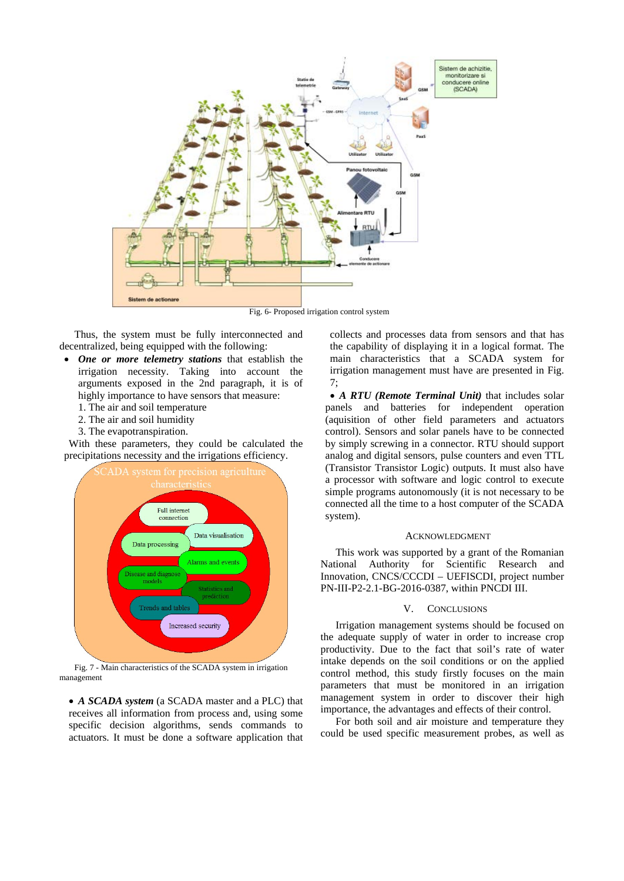

Fig. 6- Proposed irrigation control system

Thus, the system must be fully interconnected and decentralized, being equipped with the following:

- *One or more telemetry stations* that establish the irrigation necessity. Taking into account the arguments exposed in the 2nd paragraph, it is of highly importance to have sensors that measure:
	- 1. The air and soil temperature
	- 2. The air and soil humidity
	- 3. The evapotranspiration.

With these parameters, they could be calculated the precipitations necessity and the irrigations efficiency.



Fig. 7 - Main characteristics of the SCADA system in irrigation management

• *A SCADA system* (a SCADA master and a PLC) that receives all information from process and, using some specific decision algorithms, sends commands to actuators. It must be done a software application that collects and processes data from sensors and that has the capability of displaying it in a logical format. The main characteristics that a SCADA system for irrigation management must have are presented in Fig. 7;

• *A RTU (Remote Terminal Unit)* that includes solar panels and batteries for independent operation (aquisition of other field parameters and actuators control). Sensors and solar panels have to be connected by simply screwing in a connector. RTU should support analog and digital sensors, pulse counters and even TTL (Transistor Transistor Logic) outputs. It must also have a processor with software and logic control to execute simple programs autonomously (it is not necessary to be connected all the time to a host computer of the SCADA system).

#### ACKNOWLEDGMENT

This work was supported by a grant of the Romanian National Authority for Scientific Research and Innovation, CNCS/CCCDI – UEFISCDI, project number PN-III-P2-2.1-BG-2016-0387, within PNCDI III.

#### V. CONCLUSIONS

Irrigation management systems should be focused on the adequate supply of water in order to increase crop productivity. Due to the fact that soil's rate of water intake depends on the soil conditions or on the applied control method, this study firstly focuses on the main parameters that must be monitored in an irrigation management system in order to discover their high importance, the advantages and effects of their control.

For both soil and air moisture and temperature they could be used specific measurement probes, as well as